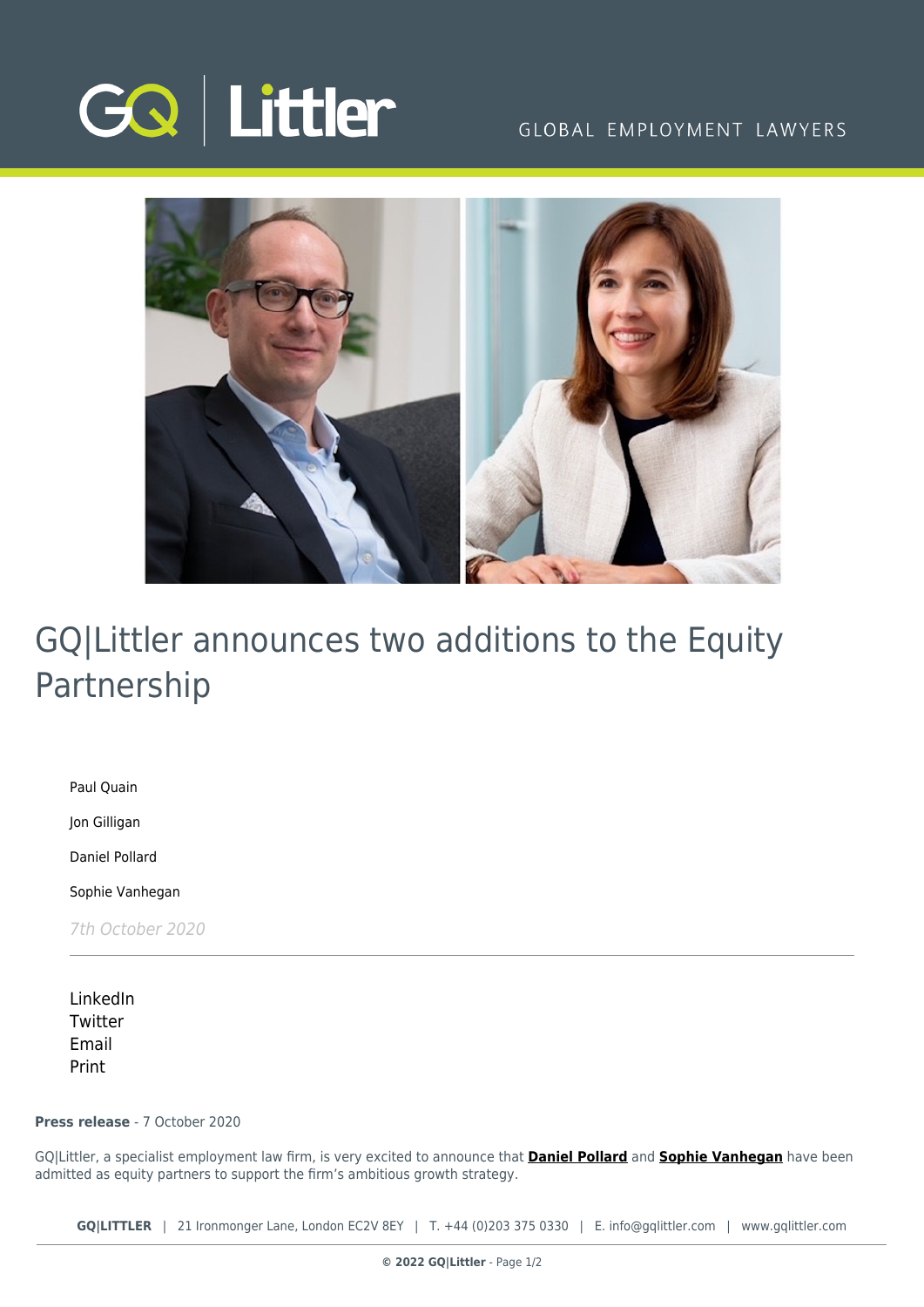

## GLOBAL EMPLOYMENT LAWYERS



# GQ|Littler announces two additions to the Equity Partnership

[Paul Quain](https://www.gqlittler.com/about-us/the-team/paul-quain)

[Jon Gilligan](https://www.gqlittler.com/about-us/the-team/jon-gilligan)

[Daniel Pollard](https://www.gqlittler.com/about-us/the-team/daniel-pollard)

[Sophie Vanhegan](https://www.gqlittler.com/about-us/the-team/sophie-vanhegan)

7th October 2020

[LinkedIn](https://www.linkedin.com/shareArticle?mini=true&url=https%3A%2F%2Fwww.gqlittler.com%2Fresources%2Fnews-and-views%2Fgq-littler-announces-two-additions-to-the-equity-partnership.htm%3Funlock%3Dtrue&title=GQ%7CLittler+announces+two+additions+to+the+Equity+Partnership&summary=GQ%7CLittler%2C+a+specialist+employment+law+firm%2C+is+very+excited+to+announce+that+Daniel+Pollard+and+Sophie+Vanhegan+have+been+admitted+as+equity+partners+to+support+the+firm%E2%80%99s+ambitious+growth+strategy.&source=GQ+%7C+Littler) **[Twitter](https://twitter.com/share?text=GQ%7CLittler+announces+two+additions+to+the+Equity+Partnership&url=https%3A%2F%2Fwww.gqlittler.com%2Fresources%2Fnews-and-views%2Fgq-littler-announces-two-additions-to-the-equity-partnership.htm&hashtags=)** [Email](mailto:?subject=GQ|Littler announces two additions to the Equity Partnership&body=I) [Print](https://www.bg-pdf.co.uk/_GQ/page.php?M=6148523063484d364c793933643363755a33467361585230624756794c6d4e76625339795a584e7664584a6a5a584d76626d563363793168626d5174646d6c6c64334d765a33457462476c306447786c63693168626d35766457356a5a584d74644864764c57466b5a476c30615739756379313062793130614755745a584631615852354c584268636e52755a584a7a61476c774c6d683062534e414930645266457870644852735a58496759573575623356755932567a49485233627942685a47527064476c76626e4d67644738676447686c4945567864576c306553425159584a30626d56796332687063434e41493264784c577870644852735a58497459573575623356755932567a4c585233627931685a47527064476c76626e4d74644738746447686c4c57567864576c306553317759584a30626d56796332687063413d3d)

### **Press release** - 7 October 2020

GQ|Littler, a specialist employment law firm, is very excited to announce that **[Daniel Pollard](https://www.gqlittler.com/about-us/the-team/daniel-pollard)** and **[Sophie Vanhegan](https://www.gqlittler.com/about-us/the-team/sophie-vanhegan)** have been admitted as equity partners to support the firm's ambitious growth strategy.

**GQ|LITTLER** | 21 Ironmonger Lane, London EC2V 8EY | T. [+44 \(0\)203 375 0330](https://www.bg-pdf.co.uk/_GQ/tel:+442033750330) | E. [info@gqlittler.com](mailto:info@gqlittler.com) | [www.gqlittler.com](https://www.gqlittler.com)